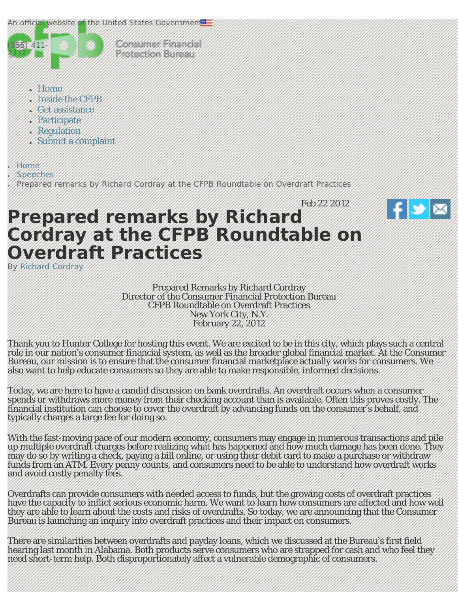<span id="page-0-0"></span>



Consumer Financial **Brateforcerd Mitchell** 

- [Home](http://www.consumerfinance.gov/)
- [Inside the CFPB](#page-0-0)
- [Get assistance](#page-0-0)
- [Participate](#page-0-0)
- [Regulation](#page-0-0)
- [Submit a complaint](#page-0-0)

**[Home](http://www.consumerfinance.gov/)** 

**[Speeches](http://www.consumerfinance.gov/speeches/)** 

Prepared remarks by Richard Cordray at the CFPB Roundtable on Overdraft Practices



# **Prepared remarks by Richard Cordray at the CFPB Roundtable on Overdraft Practices**

By [Richard Cordray](http://www.consumerfinance.gov/blog/author/rcordray/)

Prepared Remarks by Richard Cordray Director of the Consumer Financial Protection Bureau CFPB Roundtable on Overdraft Practices New York City, N.Y. February 22, 2012

Thank you to Hunter College for hosting this event. We are excited to be in this city, which plays such a central role in our nation's consumer financial system, as well as the broader global financial market. At the Consumer Bureau, our mission is to ensure that the consumer financial marketplace actually works for consumers. We also want to help educate consumers so they are able to make responsible, informed decisions.

Today, we are here to have a candid discussion on bank overdrafts. An overdraft occurs when a consumer spends or withdraws more money from their checking account than is available. Often this proves costly. The financial institution can choose to cover the overdraft by advancing funds on the consumer's behalf, and typically charges a large fee for doing so.

With the fast-moving pace of our modern economy, consumers may engage in numerous transactions and pile up multiple overdraft charges before realizing what has happened and how much damage has been done. They may do so by writing a check, paying a bill online, or using their debit card to make a purchase or withdraw funds from an ATM. Every penny counts, and consumers need to be able to understand how overdraft works and avoid costly penalty fees.

Overdrafts can provide consumers with needed access to funds, but the growing costs of overdraft practices have the capacity to inflict serious economic harm. We want to learn how consumers are affected and how well they are able to learn about the costs and risks of overdrafts. So today, we are announcing that the Consumer Bureau is launching an inquiry into overdraft practices and their impact on consumers.

There are similarities between overdrafts and payday loans, which we discussed at the Bureau's first field hearing last month in Alabama. Both products serve consumers who are strapped for cash and who feel they need short-term help. Both disproportionately affect a vulnerable demographic of consumers.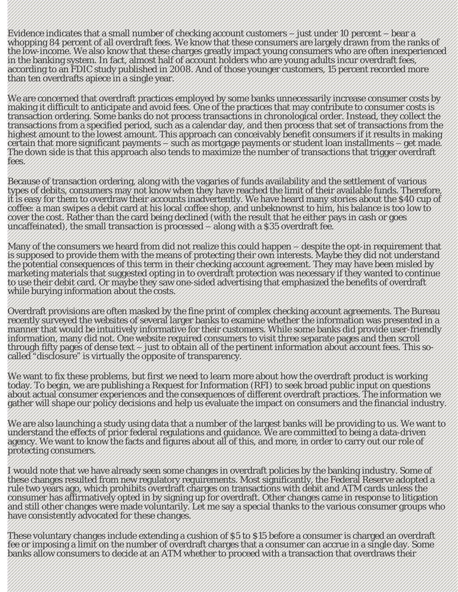Evidence indicates that a small number of checking account customers – just under 10 percent – bear a whopping 84 percent of all overdraft fees. We know that these consumers are largely drawn from the ranks of the low-income. We also know that these charges greatly impact young consumers who are often inexperienced in the banking system. In fact, almost half of account holders who are young adults incur overdraft fees, according to an FDIC study published in 2008. And of those younger customers, 15 percent recorded more than ten overdrafts apiece in a single year.

We are concerned that overdraft practices employed by some banks unnecessarily increase consumer costs by making it difficult to anticipate and avoid fees. One of the practices that may contribute to consumer costs is transaction ordering. Some banks do not process transactions in chronological order. Instead, they collect the transactions from a specified period, such as a calendar day, and then process that set of transactions from the highest amount to the lowest amount. This approach can conceivably benefit consumers if it results in making certain that more significant payments – such as mortgage payments or student loan installments – get made. The down side is that this approach also tends to maximize the number of transactions that trigger overdraft fees.

Because of transaction ordering, along with the vagaries of funds availability and the settlement of various types of debits, consumers may not know when they have reached the limit of their available funds. Therefore, it is easy for them to overdraw their accounts inadvertently. We have heard many stories about the \$40 cup of coffee: a man swipes a debit card at his local coffee shop, and unbeknownst to him, his balance is too low to cover the cost. Rather than the card being declined (with the result that he either pays in cash or goes uncaffeinated), the small transaction is processed – along with a \$35 overdraft fee.

Many of the consumers we heard from did not realize this could happen – despite the opt-in requirement that is supposed to provide them with the means of protecting their own interests. Maybe they did not understand the potential consequences of this term in their checking account agreement. They may have been misled by marketing materials that suggested opting in to overdraft protection was necessary if they wanted to continue to use their debit card. Or maybe they saw one-sided advertising that emphasized the benefits of overdraft while burying information about the costs.

Overdraft provisions are often masked by the fine print of complex checking account agreements. The Bureau recently surveyed the websites of several larger banks to examine whether the information was presented in a manner that would be intuitively informative for their customers. While some banks did provide user-friendly information, many did not. One website required consumers to visit three separate pages and then scroll through fifty pages of dense text – just to obtain all of the pertinent information about account fees. This socalled "disclosure" is virtually the opposite of transparency.

We want to fix these problems, but first we need to learn more about how the overdraft product is working today. To begin, we are publishing a Request for Information (RFI) to seek broad public input on questions about actual consumer experiences and the consequences of different overdraft practices. The information we gather will shape our policy decisions and help us evaluate the impact on consumers and the financial industry.

We are also launching a study using data that a number of the largest banks will be providing to us. We want to understand the effects of prior federal regulations and guidance. We are committed to being a data-driven agency. We want to know the facts and figures about all of this, and more, in order to carry out our role of protecting consumers.

I would note that we have already seen some changes in overdraft policies by the banking industry. Some of these changes resulted from new regulatory requirements. Most significantly, the Federal Reserve adopted a rule two years ago, which prohibits overdraft charges on transactions with debit and ATM cards unless the consumer has affirmatively opted in by signing up for overdraft. Other changes came in response to litigation and still other changes were made voluntarily. Let me say a special thanks to the various consumer groups who have consistently advocated for these changes.

These voluntary changes include extending a cushion of \$5 to \$15 before a consumer is charged an overdraft fee or imposing a limit on the number of overdraft charges that a consumer can accrue in a single day. Some banks allow consumers to decide at an ATM whether to proceed with a transaction that overdraws their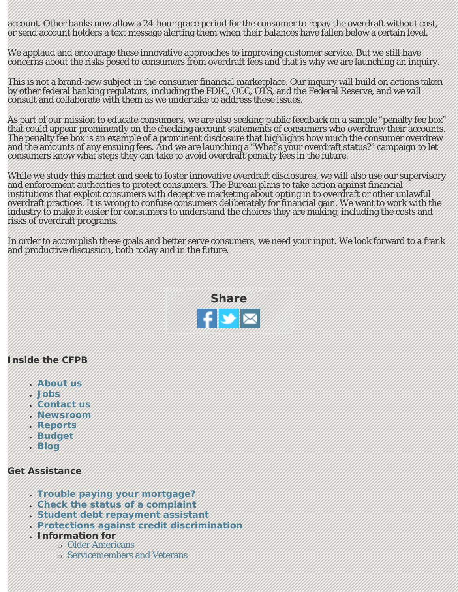account. Other banks now allow a 24-hour grace period for the consumer to repay the overdraft without cost, or send account holders a text message alerting them when their balances have fallen below a certain level.

We applaud and encourage these innovative approaches to improving customer service. But we still have concerns about the risks posed to consumers from overdraft fees and that is why we are launching an inquiry.

This is not a brand-new subject in the consumer financial marketplace. Our inquiry will build on actions taken by other federal banking regulators, including the FDIC, OCC, OTS, and the Federal Reserve, and we will consult and collaborate with them as we undertake to address these issues.

As part of our mission to educate consumers, we are also seeking public feedback on a sample "penalty fee box" that could appear prominently on the checking account statements of consumers who overdraw their accounts. The penalty fee box is an example of a prominent disclosure that highlights how much the consumer overdrew and the amounts of any ensuing fees. And we are launching a "What's your overdraft status?" campaign to let consumers know what steps they can take to avoid overdraft penalty fees in the future.

While we study this market and seek to foster innovative overdraft disclosures, we will also use our supervisory and enforcement authorities to protect consumers. The Bureau plans to take action against financial institutions that exploit consumers with deceptive marketing about opting in to overdraft or other unlawful overdraft practices. It is wrong to confuse consumers deliberately for financial gain. We want to work with the industry to make it easier for consumers to understand the choices they are making, including the costs and risks of overdraft programs.

In order to accomplish these goals and better serve consumers, we need your input. We look forward to a frank and productive discussion, both today and in the future.



## **Inside the CFPB**

- **[About us](http://www.consumerfinance.gov/the-bureau/)**
- **[Jobs](http://www.consumerfinance.gov/jobs/)**
- **[Contact us](http://www.consumerfinance.gov/contact-us/)**
- **[Newsroom](http://www.consumerfinance.gov/newsroom/)**
- **[Reports](http://www.consumerfinance.gov/reports/)**
- **[Budget](http://www.consumerfinance.gov/budget/)**
- **[Blog](http://www.consumerfinance.gov/blog/)**

## **Get Assistance**

- **[Trouble paying your mortgage?](http://www.consumerfinance.gov/mortgagehelp/)**
- **[Check the status of a complaint](https://help.consumerfinance.gov/app/account/complaints/list)**
- **[Student debt repayment assistant](http://www.consumerfinance.gov/students/repay/)**
- **[Protections against credit discrimination](http://www.consumerfinance.gov/fair-lending/)**
- **Information for**
	- ❍ [Older Americans](http://www.consumerfinance.gov/older-americans/)
	- ❍ [Servicemembers and Veterans](http://www.consumerfinance.gov/servicemembers/)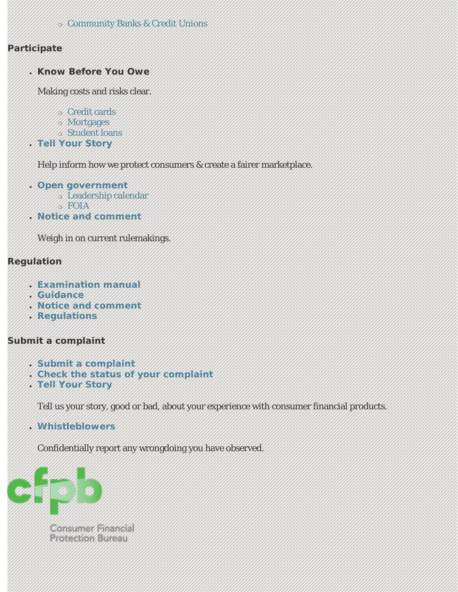#### ❍ [Community Banks & Credit Unions](http://www.consumerfinance.gov/small-financial-services-providers/)

# **Participate**

● **Know Before You Owe**

Making costs and risks clear.

- ❍ [Credit cards](http://www.consumerfinance.gov/credit-cards/knowbeforeyouowe/)
- ❍ [Mortgages](http://www.consumerfinance.gov/knowbeforeyouowe/)
- ❍ [Student loans](http://www.consumerfinance.gov/students/knowbeforeyouowe/)
- **[Tell Your Story](https://help.consumerfinance.gov/app/tellyourstory)**

Help inform how we protect consumers & create a fairer marketplace.

- **[Open government](http://www.consumerfinance.gov/open/)** ❍ [Leadership calendar](http://www.consumerfinance.gov/leadership-calendar/)  $5.501A$
- **[Notice and comment](http://www.consumerfinance.gov/notice-and-comment/)**

Weigh in on current rulemakings.

## **Regulation**

- **[Examination manual](http://www.consumerfinance.gov/guidance/supervision/manual/)**
- **[Guidance](http://www.consumerfinance.gov/guidance/)**
- **[Notice and comment](http://www.consumerfinance.gov/notice-and-comment/)**
- **[Regulations](http://www.consumerfinance.gov/regulations/)**

## **Submit a complaint**

- **[Submit a complaint](http://www.consumerfinance.gov/complaint)**
- **[Check the status of your complaint](https://help.consumerfinance.gov/app/account/complaints/list)**
- **[Tell Your Story](https://help.consumerfinance.gov/app/tellyourstory)**

Tell us your story, good or bad, about your experience with consumer financial products.

● **[Whistleblowers](http://www.consumerfinance.gov/the-cfpb-wants-you-to-blow-the-whistle-on-lawbreakers/)**

Confidentially report any wrongdoing you have observed.